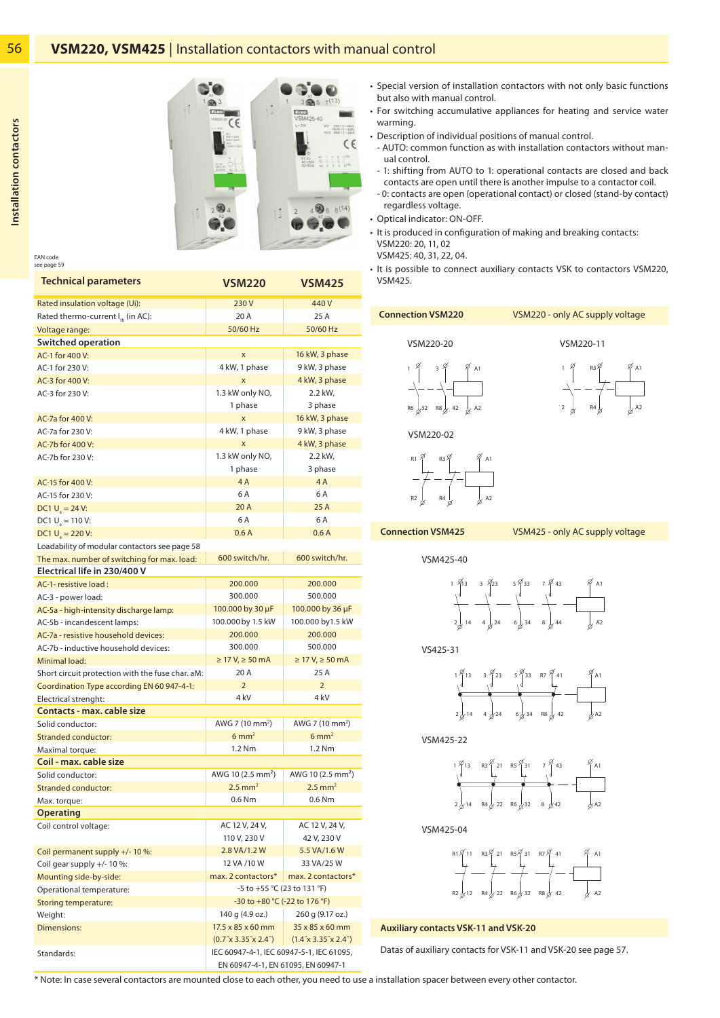

EAN code see page 59

| <b>Technical parameters</b>                      | <b>VSM220</b>                                                                                                                        | <b>VSM425</b>                 |  |  |  |  |
|--------------------------------------------------|--------------------------------------------------------------------------------------------------------------------------------------|-------------------------------|--|--|--|--|
| Rated insulation voltage (Ui):                   | 230V                                                                                                                                 | 440V                          |  |  |  |  |
| Rated thermo-current $I_{th}$ (in AC):           | 20 A                                                                                                                                 | 25 A                          |  |  |  |  |
| Voltage range:                                   | 50/60 Hz                                                                                                                             | 50/60 Hz                      |  |  |  |  |
| Switched operation                               |                                                                                                                                      |                               |  |  |  |  |
| AC-1 for 400 V:                                  | X                                                                                                                                    | 16 kW, 3 phase                |  |  |  |  |
| AC-1 for 230 V:                                  | 4 kW, 1 phase                                                                                                                        | 9 kW, 3 phase                 |  |  |  |  |
| AC-3 for 400 V:                                  | X                                                                                                                                    | 4 kW, 3 phase                 |  |  |  |  |
| AC-3 for 230 V:                                  | 1.3 kW only NO,                                                                                                                      | 2.2 kW,                       |  |  |  |  |
|                                                  | 1 phase                                                                                                                              | 3 phase                       |  |  |  |  |
| AC-7a for 400 V:                                 | X                                                                                                                                    | 16 kW, 3 phase                |  |  |  |  |
| AC-7a for 230 V:                                 | 4 kW, 1 phase                                                                                                                        | 9 kW, 3 phase                 |  |  |  |  |
| AC-7b for 400 V:                                 | $\mathsf{x}$                                                                                                                         | 4 kW, 3 phase                 |  |  |  |  |
| AC-7b for 230 V:                                 | 1.3 kW only NO,                                                                                                                      | 2.2 kW,                       |  |  |  |  |
|                                                  | 1 phase                                                                                                                              | 3 phase                       |  |  |  |  |
| AC-15 for 400 V:                                 | 4A                                                                                                                                   | 4 A                           |  |  |  |  |
| AC-15 for 230 V:                                 | 6 A                                                                                                                                  | 6 A                           |  |  |  |  |
| DC1 $U_{0} = 24$ V:                              | 20 A                                                                                                                                 | 25A                           |  |  |  |  |
| DC1 $U_{0} = 110 V$ :                            | 6 A                                                                                                                                  | 6 A                           |  |  |  |  |
| DC1 $U_{\text{S}}$ = 220 V:                      | 0.6A                                                                                                                                 | 0.6A                          |  |  |  |  |
| Loadability of modular contactors see page 58    |                                                                                                                                      |                               |  |  |  |  |
| The max. number of switching for max. load:      | 600 switch/hr.                                                                                                                       | 600 switch/hr.                |  |  |  |  |
| Electrical life in 230/400 V                     |                                                                                                                                      |                               |  |  |  |  |
| AC-1- resistive load:                            | 200.000                                                                                                                              | 200.000                       |  |  |  |  |
| AC-3 - power load:                               | 300.000                                                                                                                              | 500.000                       |  |  |  |  |
| AC-5a - high-intensity discharge lamp:           | 100.000 by 30 µF                                                                                                                     | 100.000 by 36 µF              |  |  |  |  |
| AC-5b - incandescent lamps:                      | 100.000 by 1.5 kW                                                                                                                    | 100.000 by 1.5 kW             |  |  |  |  |
| AC-7a - resistive household devices:             | 200.000                                                                                                                              | 200.000                       |  |  |  |  |
| AC-7b - inductive household devices:             | 300.000                                                                                                                              | 500.000                       |  |  |  |  |
| Minimal load:                                    | $\geq$ 17 V, $\geq$ 50 mA                                                                                                            | $\geq$ 17 V, $\geq$ 50 mA     |  |  |  |  |
| Short circuit protection with the fuse char. aM: | 20 A                                                                                                                                 | 25 A                          |  |  |  |  |
| Coordination Type according EN 60 947-4-1:       | $\overline{2}$                                                                                                                       | $\overline{2}$                |  |  |  |  |
| Electrical strenght:                             | 4 <sub>kV</sub>                                                                                                                      | 4 <sub>kV</sub>               |  |  |  |  |
| Contacts - max. cable size                       |                                                                                                                                      |                               |  |  |  |  |
| Solid conductor:                                 | AWG 7 (10 mm <sup>2</sup> )                                                                                                          | AWG 7 (10 mm <sup>2</sup> )   |  |  |  |  |
| <b>Stranded conductor:</b>                       | $6 \text{ mm}^2$                                                                                                                     | $6 \text{ mm}^2$              |  |  |  |  |
| Maximal torque:                                  | 1.2 Nm<br>1.2 Nm                                                                                                                     |                               |  |  |  |  |
| Coil - max. cable size                           |                                                                                                                                      |                               |  |  |  |  |
| Solid conductor:                                 | AWG 10 (2.5 mm <sup>2</sup> )                                                                                                        | AWG 10 (2.5 mm <sup>2</sup> ) |  |  |  |  |
| <b>Stranded conductor:</b>                       | $2.5$ mm <sup>2</sup>                                                                                                                | $2.5$ mm <sup>2</sup>         |  |  |  |  |
| Max. torque:                                     | 0.6 Nm                                                                                                                               | 0.6 Nm                        |  |  |  |  |
| <b>Operating</b>                                 |                                                                                                                                      |                               |  |  |  |  |
| Coil control voltage:                            | AC 12 V, 24 V,                                                                                                                       | AC 12 V, 24 V,                |  |  |  |  |
|                                                  | 110 V, 230 V                                                                                                                         | 42 V, 230 V                   |  |  |  |  |
| Coil permanent supply +/- 10 %:                  | 2.8 VA/1.2 W                                                                                                                         | 5.5 VA/1.6 W                  |  |  |  |  |
| Coil gear supply +/- 10 %:                       | 12 VA /10 W                                                                                                                          | 33 VA/25 W                    |  |  |  |  |
| Mounting side-by-side:                           | max. 2 contactors*<br>max. 2 contactors*                                                                                             |                               |  |  |  |  |
| Operational temperature:                         | -5 to +55 °C (23 to 131 °F)<br>-30 to +80 °C (-22 to 176 °F)                                                                         |                               |  |  |  |  |
| <b>Storing temperature:</b>                      |                                                                                                                                      |                               |  |  |  |  |
| Weight:                                          | 140 g (4.9 oz.)<br>17.5 x 85 x 60 mm                                                                                                 | 260 g (9.17 oz.)              |  |  |  |  |
| <b>Dimensions:</b>                               | 35 x 85 x 60 mm                                                                                                                      |                               |  |  |  |  |
| Standards:                                       | $(0.7'' \times 3.35'' \times 2.4'')$<br>$(1.4^\circ \times 3.35^\circ \times 2.4^\circ)$<br>IEC 60947-4-1, IEC 60947-5-1, IEC 61095, |                               |  |  |  |  |
|                                                  | EN 60947-4-1, EN 61095, EN 60947-1                                                                                                   |                               |  |  |  |  |

- Special version of installation contactors with not only basic functions but also with manual control.
- For switching accumulative appliances for heating and service water warming.
- Description of individual positions of manual control.
- AUTO: common function as with installation contactors without manual control.
- 1: shifting from AUTO to 1: operational contacts are closed and back contacts are open until there is another impulse to a contactor coil.
- 0: contacts are open (operational contact) or closed (stand-by contact) regardless voltage.
- Optical indicator: ON-OFF.
- It is produced in configuration of making and breaking contacts: VSM220: 20, 11, 02
	- VSM425: 40, 31, 22, 04.
- It is possible to connect auxiliary contacts VSK to contactors VSM220, VSM425.

| <b>Connection VSM220</b>                                               | VSM220 - only AC supply voltage        |  |  |  |  |  |
|------------------------------------------------------------------------|----------------------------------------|--|--|--|--|--|
| VSM220-20<br>3 ř<br>$^{\prime}$ A1                                     | VSM220-11<br>R3%<br>$\mathbf{1}$<br>A1 |  |  |  |  |  |
| $R8\frac{1}{6}$ 42<br>$R6 \frac{1}{6}32$<br>$\frac{1}{\varnothing}$ A2 | $\overline{c}$<br>, A2<br>R4           |  |  |  |  |  |
| VSM220-02                                                              |                                        |  |  |  |  |  |
| $R1 \n\varphi$<br>$R3\%$<br>A1<br>R <sub>2</sub><br>R4<br>A2           |                                        |  |  |  |  |  |

**Connection VSM425**

VSM425 - only AC supply voltage

VSM425-40

1 13 2 14 A1 A2 3 23 4 24 5 33 6 34 7 43 8 44

VS425-31

1 13 2 14 A1 A2 3 23 4 24 5 33 6 34 R7 41 R8 42

VSM425-22



VSM425-04



## **Auxiliary contacts VSK-11 and VSK-20**

Datas of auxiliary contacts for VSK-11 and VSK-20 see page 57.

\* Note: In case several contactors are mounted close to each other, you need to use a installation spacer between every other contactor.

56